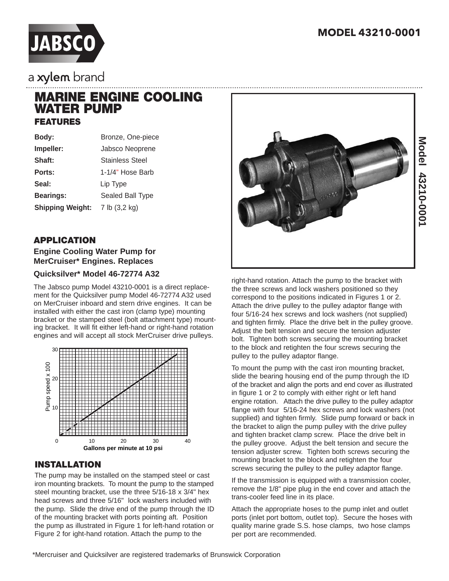# **MODEL 43210-0001**



a xylem brand

# **MARINE ENGINE COOLING WATER PUMP FEATURES**

| Body:                                | Bronze, One-piece      |  |
|--------------------------------------|------------------------|--|
| Impeller:                            | Jabsco Neoprene        |  |
| Shaft:                               | <b>Stainless Steel</b> |  |
| Ports:                               | 1-1/4" Hose Barb       |  |
| Seal:                                | Lip Type               |  |
| <b>Bearings:</b><br>Sealed Ball Type |                        |  |
| <b>Shipping Weight:</b>              | 7 lb (3,2 kg)          |  |

## **APPLICATION**

### **Engine Cooling Water Pump for MerCruiser\* Engines. Replaces**

### **Quicksilver\* Model 46-72774 A32**

The Jabsco pump Model 43210-0001 is a direct replacement for the Quicksilver pump Model 46-72774 A32 used on MerCruiser inboard and stern drive engines. It can be installed with either the cast iron (clamp type) mounting bracket or the stamped steel (bolt attachment type) mounting bracket. It will fit either left-hand or right-hand rotation engines and will accept all stock MerCruiser drive pulleys.



## **INSTALLATION**

The pump may be installed on the stamped steel or cast iron mounting brackets. To mount the pump to the stamped steel mounting bracket, use the three 5/16-18 x 3/4" hex head screws and three 5/16" lock washers included with the pump. Slide the drive end of the pump through the ID of the mounting bracket with ports pointing aft. Position the pump as illustrated in Figure 1 for left-hand rotation or Figure 2 for ight-hand rotation. Attach the pump to the



right-hand rotation. Attach the pump to the bracket with the three screws and lock washers positioned so they correspond to the positions indicated in Figures 1 or 2. Attach the drive pulley to the pulley adaptor flange with four 5/16-24 hex screws and lock washers (not supplied) and tighten firmly. Place the drive belt in the pulley groove. Adjust the belt tension and secure the tension adjuster bolt. Tighten both screws securing the mounting bracket to the block and retighten the four screws securing the pulley to the pulley adaptor flange.

To mount the pump with the cast iron mounting bracket, slide the bearing housing end of the pump through the ID of the bracket and align the ports and end cover as illustrated in figure 1 or 2 to comply with either right or left hand engine rotation. Attach the drive pulley to the pulley adaptor flange with four 5/16-24 hex screws and lock washers (not supplied) and tighten firmly. Slide pump forward or back in the bracket to align the pump pulley with the drive pulley and tighten bracket clamp screw. Place the drive belt in the pulley groove. Adjust the belt tension and secure the tension adjuster screw. Tighten both screws securing the mounting bracket to the block and retighten the four screws securing the pulley to the pulley adaptor flange.

If the transmission is equipped with a transmission cooler, remove the 1/8" pipe plug in the end cover and attach the trans-cooler feed line in its place.

Attach the appropriate hoses to the pump inlet and outlet ports (inlet port bottom, outlet top). Secure the hoses with quality marine grade S.S. hose clamps, two hose clamps per port are recommended.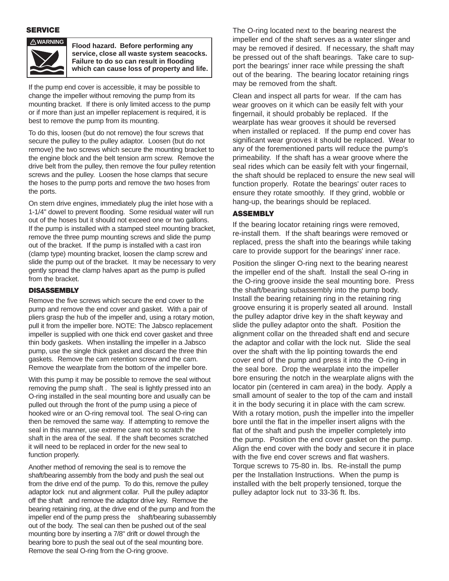#### **SERVICE**



**! W ARNING Flood hazard. Before performing any service, close all waste system seacocks. Failure to do so can result in flooding which can cause loss of property and life.** 

If the pump end cover is accessible, it may be possible to change the impeller without removing the pump from its mounting bracket. If there is only limited access to the pump or if more than just an impeller replacement is required, it is best to remove the pump from its mounting.

To do this, loosen (but do not remove) the four screws that secure the pulley to the pulley adaptor. Loosen (but do not remove) the two screws which secure the mounting bracket to the engine block and the belt tension arm screw. Remove the drive belt from the pulley, then remove the four pulley retention screws and the pulley. Loosen the hose clamps that secure the hoses to the pump ports and remove the two hoses from the ports.

On stern drive engines, immediately plug the inlet hose with a 1-1/4" dowel to prevent flooding. Some residual water will run out of the hoses but it should not exceed one or two gallons. If the pump is installed with a stamped steel mounting bracket, remove the three pump mounting screws and slide the pump out of the bracket. If the pump is installed with a cast iron (clamp type) mounting bracket, loosen the clamp screw and slide the pump out of the bracket. It may be necessary to very gently spread the clamp halves apart as the pump is pulled from the bracket.

#### **DISASSEMBLY**

Remove the five screws which secure the end cover to the pump and remove the end cover and gasket. With a pair of pliers grasp the hub of the impeller and, using a rotary motion, pull it from the impeller bore. NOTE: The Jabsco replacement impeller is supplied with one thick end cover gasket and three thin body gaskets. When installing the impeller in a Jabsco pump, use the single thick gasket and discard the three thin gaskets. Remove the cam retention screw and the cam. Remove the wearplate from the bottom of the impeller bore.

With this pump it may be possible to remove the seal without removing the pump shaft . The seal is lightly pressed into an O-ring installed in the seal mounting bore and usually can be pulled out through the front of the pump using a piece of hooked wire or an O-ring removal tool. The seal O-ring can then be removed the same way. If attempting to remove the seal in this manner, use extreme care not to scratch the shaft in the area of the seal. If the shaft becomes scratched it will need to be replaced in order for the new seal to function properly.

Another method of removing the seal is to remove the shaft/bearing assembly from the body and push the seal out from the drive end of the pump. To do this, remove the pulley adaptor lock nut and alignment collar. Pull the pulley adaptor off the shaft and remove the adaptor drive key. Remove the bearing retaining ring, at the drive end of the pump and from the impeller end of the pump press the shaft/bearing subassembly out of the body. The seal can then be pushed out of the seal mounting bore by inserting a 7/8" drift or dowel through the bearing bore to push the seal out of the seal mounting bore. Remove the seal O-ring from the O-ring groove.

The O-ring located next to the bearing nearest the impeller end of the shaft serves as a water slinger and may be removed if desired. If necessary, the shaft may be pressed out of the shaft bearings. Take care to support the bearings' inner race while pressing the shaft out of the bearing. The bearing locator retaining rings may be removed from the shaft.

Clean and inspect all parts for wear. If the cam has wear grooves on it which can be easily felt with your fingernail, it should probably be replaced. If the wearplate has wear grooves it should be reversed when installed or replaced. If the pump end cover has significant wear grooves it should be replaced. Wear to any of the forementioned parts will reduce the pump's primeability. If the shaft has a wear groove where the seal rides which can be easily felt with your fingernail, the shaft should be replaced to ensure the new seal will function properly. Rotate the bearings' outer races to ensure they rotate smoothly. If they grind, wobble or hang-up, the bearings should be replaced.

#### **ASSEMBLY**

If the bearing locator retaining rings were removed, re-install them. If the shaft bearings were removed or replaced, press the shaft into the bearings while taking care to provide support for the bearings' inner race.

Position the slinger O-ring next to the bearing nearest the impeller end of the shaft. Install the seal O-ring in the O-ring groove inside the seal mounting bore. Press the shaft/bearing subassembly into the pump body. Install the bearing retaining ring in the retaining ring groove ensuring it is properly seated all around. Install the pulley adaptor drive key in the shaft keyway and slide the pulley adaptor onto the shaft. Position the alignment collar on the threaded shaft end and secure the adaptor and collar with the lock nut. Slide the seal over the shaft with the lip pointing towards the end cover end of the pump and press it into the O-ring in the seal bore. Drop the wearplate into the impeller bore ensuring the notch in the wearplate aligns with the locator pin (centered in cam area) in the body. Apply a small amount of sealer to the top of the cam and install it in the body securing it in place with the cam screw. With a rotary motion, push the impeller into the impeller bore until the flat in the impeller insert aligns with the flat of the shaft and push the impeller completely into the pump. Position the end cover gasket on the pump. Align the end cover with the body and secure it in place with the five end cover screws and flat washers. Torque screws to 75-80 in. lbs. Re-install the pump per the Installation Instructions. When the pump is installed with the belt properly tensioned, torque the pulley adaptor lock nut to 33-36 ft. lbs.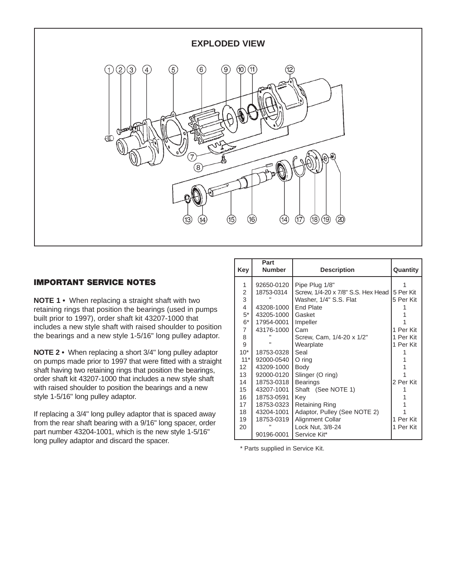

### **IMPORTANT SERVICE NOTES**

**NOTE 1 •** When replacing a straight shaft with two retaining rings that position the bearings (used in pumps built prior to 1997), order shaft kit 43207-1000 that includes a new style shaft with raised shoulder to position the bearings and a new style 1-5/16" long pulley adaptor.

**NOTE 2 •** When replacing a short 3/4" long pulley adaptor on pumps made prior to 1997 that were fitted with a straight shaft having two retaining rings that position the bearings, order shaft kit 43207-1000 that includes a new style shaft with raised shoulder to position the bearings and a new style 1-5/16" long pulley adaptor.

If replacing a 3/4" long pulley adaptor that is spaced away from the rear shaft bearing with a 9/16" long spacer, order part number 43204-1001, which is the new style 1-5/16" long pulley adaptor and discard the spacer.

| Key             | Part<br><b>Number</b> | <b>Description</b>                 | Quantity  |
|-----------------|-----------------------|------------------------------------|-----------|
| 1               | 92650-0120            | Pipe Plug 1/8"                     |           |
| 2               | 18753-0314            | Screw, 1/4-20 x 7/8" S.S. Hex Head | 5 Per Kit |
| 3               |                       | Washer, 1/4" S.S. Flat             | 5 Per Kit |
| $\overline{4}$  | 43208-1000            | <b>End Plate</b>                   |           |
| $5^\star$       | 43205-1000            | Gasket                             |           |
| $6*$            | 17954-0001            | Impeller                           |           |
| $\overline{7}$  | 43176-1000            | Cam                                | 1 Per Kit |
| 8               |                       | Screw, Cam, 1/4-20 x 1/2"          | 1 Per Kit |
| 9               |                       | Wearplate                          | 1 Per Kit |
| $10*$           | 18753-0328            | Seal                               |           |
| $11*$           | 92000-0540            | $O$ ring                           |           |
| 12 <sup>2</sup> | 43209-1000            | <b>Body</b>                        |           |
| 13              | 92000-0120            | Slinger (O ring)                   |           |
| 14              | 18753-0318            | <b>Bearings</b>                    | 2 Per Kit |
| 15              | 43207-1001            | Shaft (See NOTE 1)                 |           |
| 16              | 18753-0591            | Key                                |           |
| 17              | 18753-0323            | <b>Retaining Ring</b>              |           |
| 18              | 43204-1001            | Adaptor, Pulley (See NOTE 2)       |           |
| 19              | 18753-0319            | Alignment Collar                   | 1 Per Kit |
| 20              |                       | Lock Nut, 3/8-24                   | 1 Per Kit |
|                 | 90196-0001            | Service Kit*                       |           |

\* Parts supplied in Service Kit.